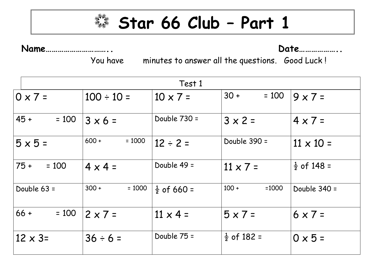

**Star 66 Club – Part 1**

## **Name………………………….. Date………………..**

You have minutes to answer all the questions. Good Luck !

|                   | Test 1              |                        |                        |                        |  |  |
|-------------------|---------------------|------------------------|------------------------|------------------------|--|--|
| $0 \times 7 =$    | $100 \div 10 =$     | $10 \times 7 =$        | $30 +$<br>$= 100$      | $9 \times 7 =$         |  |  |
| $45 +$<br>$= 100$ | $3 \times 6 =$      | Double $730 =$         | $3 \times 2 =$         | $4 \times 7 =$         |  |  |
| $5 \times 5 =$    | $600 +$<br>$= 1000$ | $12 \div 2 =$          | Double 390 =           | $11 \times 10 =$       |  |  |
| $75 +$<br>$= 100$ | $4 \times 4 =$      | Double 49 =            | $11 \times 7 =$        | $\frac{1}{2}$ of 148 = |  |  |
| Double $63 =$     | $300 +$<br>$= 1000$ | $\frac{1}{2}$ of 660 = | $100 +$<br>$=1000$     | Double $340 =$         |  |  |
| $66 +$<br>$= 100$ | $2 \times 7 =$      | $11 \times 4 =$        | $5 \times 7 =$         | $6 \times 7 =$         |  |  |
| $12 \times 3=$    | $36 \div 6 =$       | Double $75 =$          | $\frac{1}{2}$ of 182 = | $0 \times 5 =$         |  |  |